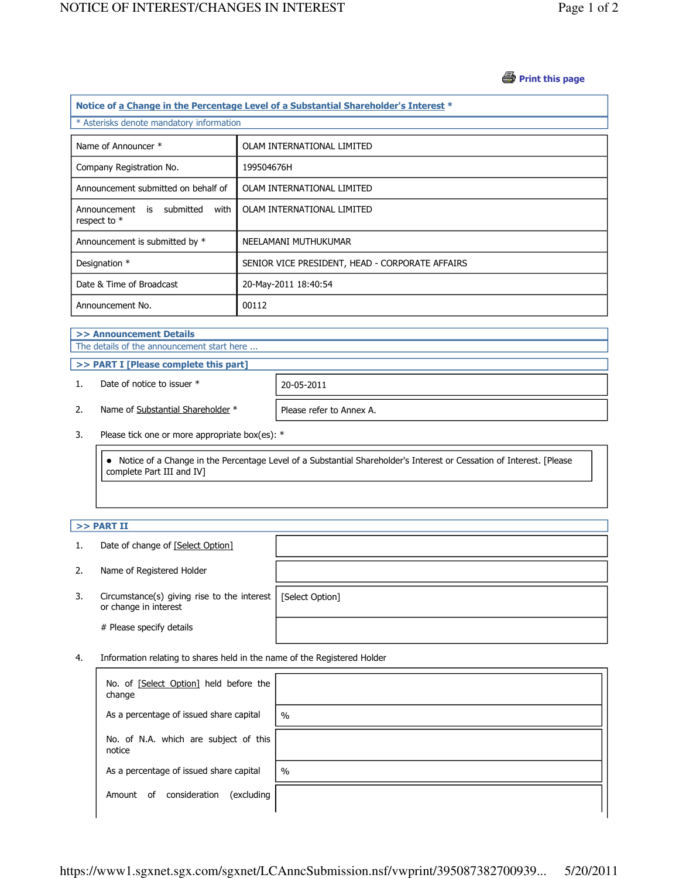## *A* Print this page

| Notice of a Change in the Percentage Level of a Substantial Shareholder's Interest * |                                                 |  |  |  |
|--------------------------------------------------------------------------------------|-------------------------------------------------|--|--|--|
| * Asterisks denote mandatory information                                             |                                                 |  |  |  |
| Name of Announcer *                                                                  | OLAM INTERNATIONAL LIMITED                      |  |  |  |
| Company Registration No.                                                             | 199504676H                                      |  |  |  |
| Announcement submitted on behalf of                                                  | OLAM INTERNATIONAL LIMITED                      |  |  |  |
| Announcement is submitted<br>with<br>respect to $*$                                  | OLAM INTERNATIONAL LIMITED                      |  |  |  |
| Announcement is submitted by *                                                       | NEELAMANI MUTHUKUMAR                            |  |  |  |
| Designation *                                                                        | SENIOR VICE PRESIDENT, HEAD - CORPORATE AFFAIRS |  |  |  |
| Date & Time of Broadcast                                                             | 20-May-2011 18:40:54                            |  |  |  |
| Announcement No.                                                                     | 00112                                           |  |  |  |

#### >> Announcement Details The details of the announcement start here ...

>> PART I [Please complete this part]

1. Date of notice to issuer \* 20-05-2011

2. Name of Substantial Shareholder \* Please refer to Annex A.

3. Please tick one or more appropriate box(es): \*

 Notice of a Change in the Percentage Level of a Substantial Shareholder's Interest or Cessation of Interest. [Please complete Part III and IV]

### $>>$  PART II

- 1. Date of change of [Select Option]
- 2. Name of Registered Holder
- 3. Circumstance(s) giving rise to the interest [Select Option] or change in interest

# Please specify details

4. Information relating to shares held in the name of the Registered Holder

| No. of [Select Option] held before the<br>change |               |
|--------------------------------------------------|---------------|
| As a percentage of issued share capital          | $\frac{0}{0}$ |
| No. of N.A. which are subject of this<br>notice  |               |
| As a percentage of issued share capital          | $\%$          |
| consideration<br>(excluding<br>0f<br>Amount      |               |